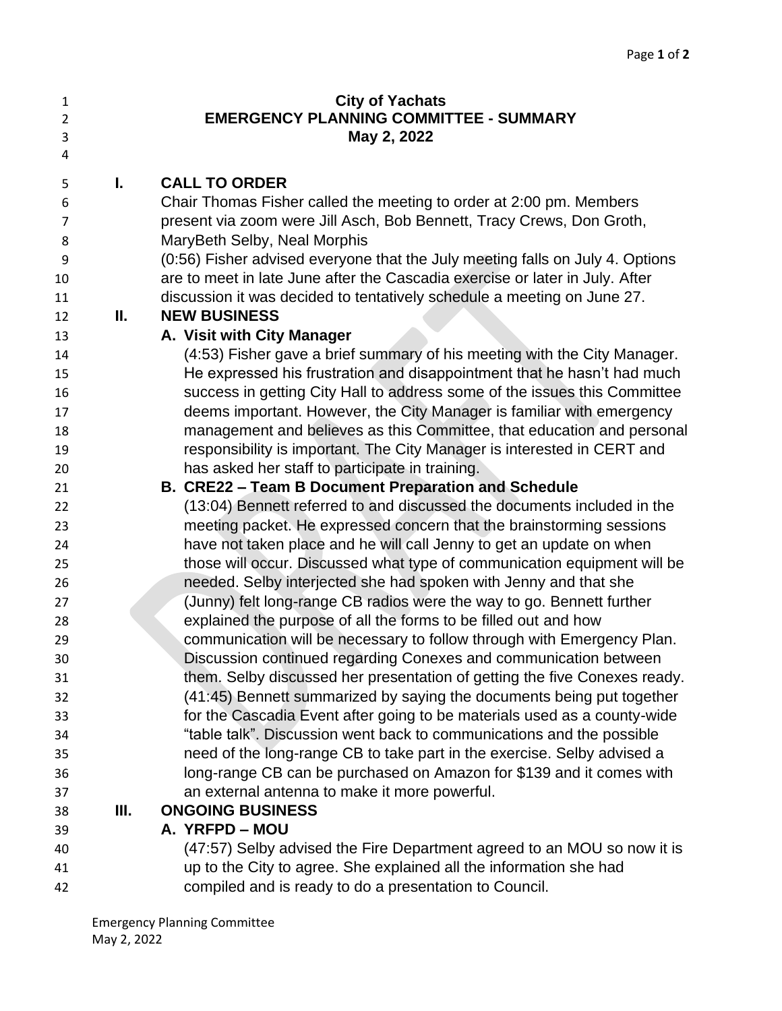| 1<br>$\overline{2}$<br>3 |    | <b>City of Yachats</b><br><b>EMERGENCY PLANNING COMMITTEE - SUMMARY</b><br>May 2, 2022 |
|--------------------------|----|----------------------------------------------------------------------------------------|
| 4                        |    |                                                                                        |
| 5                        | ı. | <b>CALL TO ORDER</b>                                                                   |
| 6                        |    | Chair Thomas Fisher called the meeting to order at 2:00 pm. Members                    |
| 7                        |    | present via zoom were Jill Asch, Bob Bennett, Tracy Crews, Don Groth,                  |
| 8                        |    | MaryBeth Selby, Neal Morphis                                                           |
| 9                        |    | (0:56) Fisher advised everyone that the July meeting falls on July 4. Options          |
| 10                       |    | are to meet in late June after the Cascadia exercise or later in July. After           |
| 11                       |    | discussion it was decided to tentatively schedule a meeting on June 27.                |
| 12                       | Ш. | <b>NEW BUSINESS</b>                                                                    |
| 13                       |    | A. Visit with City Manager                                                             |
| 14                       |    | (4:53) Fisher gave a brief summary of his meeting with the City Manager.               |
| 15                       |    | He expressed his frustration and disappointment that he hasn't had much                |
| 16                       |    | success in getting City Hall to address some of the issues this Committee              |
| 17                       |    | deems important. However, the City Manager is familiar with emergency                  |
| 18                       |    | management and believes as this Committee, that education and personal                 |
| 19                       |    | responsibility is important. The City Manager is interested in CERT and                |
| 20                       |    | has asked her staff to participate in training.                                        |
| 21                       |    | B. CRE22 - Team B Document Preparation and Schedule                                    |
| 22                       |    | (13:04) Bennett referred to and discussed the documents included in the                |
| 23                       |    | meeting packet. He expressed concern that the brainstorming sessions                   |
| 24                       |    | have not taken place and he will call Jenny to get an update on when                   |
| 25                       |    | those will occur. Discussed what type of communication equipment will be               |
| 26                       |    | needed. Selby interjected she had spoken with Jenny and that she                       |
| 27                       |    | (Junny) felt long-range CB radios were the way to go. Bennett further                  |
| 28                       |    | explained the purpose of all the forms to be filled out and how                        |
| 29                       |    | communication will be necessary to follow through with Emergency Plan.                 |
| 30                       |    | Discussion continued regarding Conexes and communication between                       |
| 31                       |    | them. Selby discussed her presentation of getting the five Conexes ready.              |
| 32                       |    | (41:45) Bennett summarized by saying the documents being put together                  |
| 33                       |    | for the Cascadia Event after going to be materials used as a county-wide               |
| 34                       |    | "table talk". Discussion went back to communications and the possible                  |
| 35                       |    | need of the long-range CB to take part in the exercise. Selby advised a                |
| 36                       |    | long-range CB can be purchased on Amazon for \$139 and it comes with                   |
| 37                       |    | an external antenna to make it more powerful.                                          |
| 38                       | Ш. | <b>ONGOING BUSINESS</b>                                                                |
| 39                       |    | A. YRFPD - MOU                                                                         |

 (47:57) Selby advised the Fire Department agreed to an MOU so now it is up to the City to agree. She explained all the information she had compiled and is ready to do a presentation to Council.